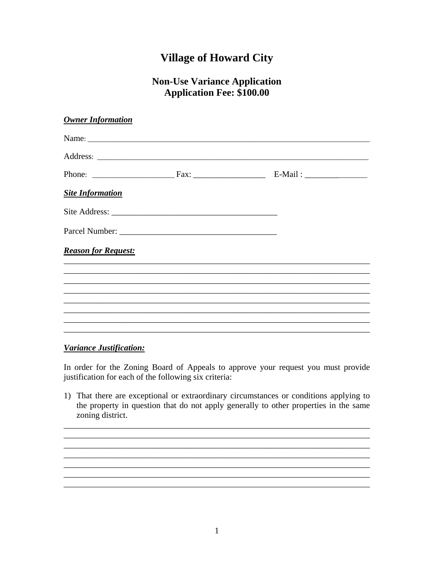## **Village of Howard City**

## **Non-Use Variance Application Application Fee: \$100.00**

## Variance Justification:

In order for the Zoning Board of Appeals to approve your request you must provide justification for each of the following six criteria:

1) That there are exceptional or extraordinary circumstances or conditions applying to the property in question that do not apply generally to other properties in the same zoning district.

<u> 1989 - Johann Stoff, deutscher Stoffen und der Stoffen und der Stoffen und der Stoffen und der Stoffen und de</u>

and the control of the control of the control of the control of the control of the control of the control of the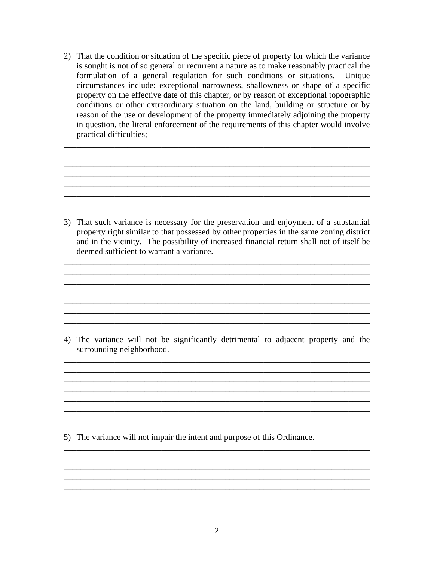2) That the condition or situation of the specific piece of property for which the variance is sought is not of so general or recurrent a nature as to make reasonably practical the formulation of a general regulation for such conditions or situations. Unique circumstances include: exceptional narrowness, shallowness or shape of a specific property on the effective date of this chapter, or by reason of exceptional topographic conditions or other extraordinary situation on the land, building or structure or by reason of the use or development of the property immediately adjoining the property in question, the literal enforcement of the requirements of this chapter would involve practical difficulties;

\_\_\_\_\_\_\_\_\_\_\_\_\_\_\_\_\_\_\_\_\_\_\_\_\_\_\_\_\_\_\_\_\_\_\_\_\_\_\_\_\_\_\_\_\_\_\_\_\_\_\_\_\_\_\_\_\_\_\_\_\_\_\_\_\_\_\_\_\_\_\_\_ \_\_\_\_\_\_\_\_\_\_\_\_\_\_\_\_\_\_\_\_\_\_\_\_\_\_\_\_\_\_\_\_\_\_\_\_\_\_\_\_\_\_\_\_\_\_\_\_\_\_\_\_\_\_\_\_\_\_\_\_\_\_\_\_\_\_\_\_\_\_\_\_ \_\_\_\_\_\_\_\_\_\_\_\_\_\_\_\_\_\_\_\_\_\_\_\_\_\_\_\_\_\_\_\_\_\_\_\_\_\_\_\_\_\_\_\_\_\_\_\_\_\_\_\_\_\_\_\_\_\_\_\_\_\_\_\_\_\_\_\_\_\_\_\_ \_\_\_\_\_\_\_\_\_\_\_\_\_\_\_\_\_\_\_\_\_\_\_\_\_\_\_\_\_\_\_\_\_\_\_\_\_\_\_\_\_\_\_\_\_\_\_\_\_\_\_\_\_\_\_\_\_\_\_\_\_\_\_\_\_\_\_\_\_\_\_\_ \_\_\_\_\_\_\_\_\_\_\_\_\_\_\_\_\_\_\_\_\_\_\_\_\_\_\_\_\_\_\_\_\_\_\_\_\_\_\_\_\_\_\_\_\_\_\_\_\_\_\_\_\_\_\_\_\_\_\_\_\_\_\_\_\_\_\_\_\_\_\_\_

3) That such variance is necessary for the preservation and enjoyment of a substantial property right similar to that possessed by other properties in the same zoning district and in the vicinity. The possibility of increased financial return shall not of itself be deemed sufficient to warrant a variance.

\_\_\_\_\_\_\_\_\_\_\_\_\_\_\_\_\_\_\_\_\_\_\_\_\_\_\_\_\_\_\_\_\_\_\_\_\_\_\_\_\_\_\_\_\_\_\_\_\_\_\_\_\_\_\_\_\_\_\_\_\_\_\_\_\_\_\_\_\_\_\_\_ \_\_\_\_\_\_\_\_\_\_\_\_\_\_\_\_\_\_\_\_\_\_\_\_\_\_\_\_\_\_\_\_\_\_\_\_\_\_\_\_\_\_\_\_\_\_\_\_\_\_\_\_\_\_\_\_\_\_\_\_\_\_\_\_\_\_\_\_\_\_\_\_ \_\_\_\_\_\_\_\_\_\_\_\_\_\_\_\_\_\_\_\_\_\_\_\_\_\_\_\_\_\_\_\_\_\_\_\_\_\_\_\_\_\_\_\_\_\_\_\_\_\_\_\_\_\_\_\_\_\_\_\_\_\_\_\_\_\_\_\_\_\_\_\_

 $\mathcal{L}_\mathcal{L} = \{ \mathcal{L}_\mathcal{L} = \{ \mathcal{L}_\mathcal{L} = \{ \mathcal{L}_\mathcal{L} = \{ \mathcal{L}_\mathcal{L} = \{ \mathcal{L}_\mathcal{L} = \{ \mathcal{L}_\mathcal{L} = \{ \mathcal{L}_\mathcal{L} = \{ \mathcal{L}_\mathcal{L} = \{ \mathcal{L}_\mathcal{L} = \{ \mathcal{L}_\mathcal{L} = \{ \mathcal{L}_\mathcal{L} = \{ \mathcal{L}_\mathcal{L} = \{ \mathcal{L}_\mathcal{L} = \{ \mathcal{L}_\mathcal{$ 

\_\_\_\_\_\_\_\_\_\_\_\_\_\_\_\_\_\_\_\_\_\_\_\_\_\_\_\_\_\_\_\_\_\_\_\_\_\_\_\_\_\_\_\_\_\_\_\_\_\_\_\_\_\_\_\_\_\_\_\_\_\_\_\_\_\_\_\_\_\_\_\_

\_\_\_\_\_\_\_\_\_\_\_\_\_\_\_\_\_\_\_\_\_\_\_\_\_\_\_\_\_\_\_\_\_\_\_\_\_\_\_\_\_\_\_\_\_\_\_\_\_\_\_\_\_\_\_\_\_\_\_\_\_\_\_\_\_\_\_\_\_\_\_\_

4) The variance will not be significantly detrimental to adjacent property and the surrounding neighborhood.

\_\_\_\_\_\_\_\_\_\_\_\_\_\_\_\_\_\_\_\_\_\_\_\_\_\_\_\_\_\_\_\_\_\_\_\_\_\_\_\_\_\_\_\_\_\_\_\_\_\_\_\_\_\_\_\_\_\_\_\_\_\_\_\_\_\_\_\_\_\_\_\_  $\mathcal{L}_\mathcal{L} = \{ \mathcal{L}_\mathcal{L} = \{ \mathcal{L}_\mathcal{L} = \{ \mathcal{L}_\mathcal{L} = \{ \mathcal{L}_\mathcal{L} = \{ \mathcal{L}_\mathcal{L} = \{ \mathcal{L}_\mathcal{L} = \{ \mathcal{L}_\mathcal{L} = \{ \mathcal{L}_\mathcal{L} = \{ \mathcal{L}_\mathcal{L} = \{ \mathcal{L}_\mathcal{L} = \{ \mathcal{L}_\mathcal{L} = \{ \mathcal{L}_\mathcal{L} = \{ \mathcal{L}_\mathcal{L} = \{ \mathcal{L}_\mathcal{$ \_\_\_\_\_\_\_\_\_\_\_\_\_\_\_\_\_\_\_\_\_\_\_\_\_\_\_\_\_\_\_\_\_\_\_\_\_\_\_\_\_\_\_\_\_\_\_\_\_\_\_\_\_\_\_\_\_\_\_\_\_\_\_\_\_\_\_\_\_\_\_\_  $\mathcal{L}_\mathcal{L} = \{ \mathcal{L}_\mathcal{L} = \{ \mathcal{L}_\mathcal{L} = \{ \mathcal{L}_\mathcal{L} = \{ \mathcal{L}_\mathcal{L} = \{ \mathcal{L}_\mathcal{L} = \{ \mathcal{L}_\mathcal{L} = \{ \mathcal{L}_\mathcal{L} = \{ \mathcal{L}_\mathcal{L} = \{ \mathcal{L}_\mathcal{L} = \{ \mathcal{L}_\mathcal{L} = \{ \mathcal{L}_\mathcal{L} = \{ \mathcal{L}_\mathcal{L} = \{ \mathcal{L}_\mathcal{L} = \{ \mathcal{L}_\mathcal{$ 

\_\_\_\_\_\_\_\_\_\_\_\_\_\_\_\_\_\_\_\_\_\_\_\_\_\_\_\_\_\_\_\_\_\_\_\_\_\_\_\_\_\_\_\_\_\_\_\_\_\_\_\_\_\_\_\_\_\_\_\_\_\_\_\_\_\_\_\_\_\_\_\_

\_\_\_\_\_\_\_\_\_\_\_\_\_\_\_\_\_\_\_\_\_\_\_\_\_\_\_\_\_\_\_\_\_\_\_\_\_\_\_\_\_\_\_\_\_\_\_\_\_\_\_\_\_\_\_\_\_\_\_\_\_\_\_\_\_\_\_\_\_\_\_\_  $\mathcal{L}_\text{max}$  and  $\mathcal{L}_\text{max}$  and  $\mathcal{L}_\text{max}$  and  $\mathcal{L}_\text{max}$  and  $\mathcal{L}_\text{max}$  and  $\mathcal{L}_\text{max}$ \_\_\_\_\_\_\_\_\_\_\_\_\_\_\_\_\_\_\_\_\_\_\_\_\_\_\_\_\_\_\_\_\_\_\_\_\_\_\_\_\_\_\_\_\_\_\_\_\_\_\_\_\_\_\_\_\_\_\_\_\_\_\_\_\_\_\_\_\_\_\_\_ \_\_\_\_\_\_\_\_\_\_\_\_\_\_\_\_\_\_\_\_\_\_\_\_\_\_\_\_\_\_\_\_\_\_\_\_\_\_\_\_\_\_\_\_\_\_\_\_\_\_\_\_\_\_\_\_\_\_\_\_\_\_\_\_\_\_\_\_\_\_\_\_

 $\_$  ,  $\_$  ,  $\_$  ,  $\_$  ,  $\_$  ,  $\_$  ,  $\_$  ,  $\_$  ,  $\_$  ,  $\_$  ,  $\_$  ,  $\_$  ,  $\_$  ,  $\_$  ,  $\_$  ,  $\_$  ,  $\_$  ,  $\_$  ,  $\_$  ,  $\_$  ,  $\_$  ,  $\_$  ,  $\_$  ,  $\_$  ,  $\_$  ,  $\_$  ,  $\_$  ,  $\_$  ,  $\_$  ,  $\_$  ,  $\_$  ,  $\_$  ,  $\_$  ,  $\_$  ,  $\_$  ,  $\_$  ,  $\_$  ,

\_\_\_\_\_\_\_\_\_\_\_\_\_\_\_\_\_\_\_\_\_\_\_\_\_\_\_\_\_\_\_\_\_\_\_\_\_\_\_\_\_\_\_\_\_\_\_\_\_\_\_\_\_\_\_\_\_\_\_\_\_\_\_\_\_\_\_\_\_\_\_\_

5) The variance will not impair the intent and purpose of this Ordinance.